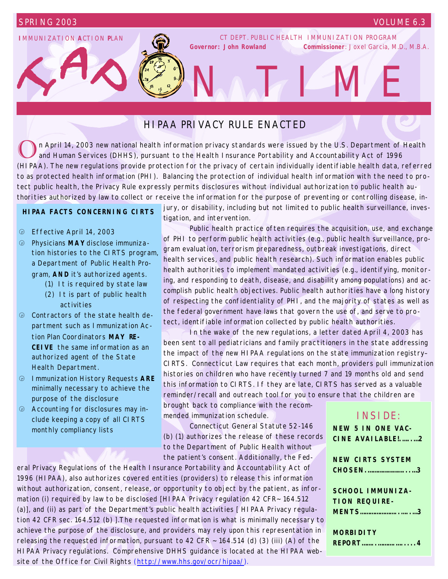## **I**MMUNIZATION **A**CTION **P**LAN

CT DEPT. PUBLIC HEALTH IMMUNIZATION PROGRAM *Governor: John Rowland Commissioner: Joxel Garcia, M.D., M.B.A.* 

NATINE

# HIPAA PRIVACY RULE ENACTED

O n April 14, 2003 new national health information privacy standards were issued by the U.S. Department of Health and Human Services (DHHS), pursuant to the Health Insurance Portability and Accountability Act of 1996 (HIPAA). The new regulations provide protection for the privacy of certain individually identifiable health data, referred to as protected health information (PHI). Balancing the protection of individual health information with the need to protect public health, the Privacy Rule expressly permits disclosures without individual authorization to public health authorities authorized by law to collect or receive the information for the purpose of preventing or controlling disease, in-

## **HIPAA FACTS CONCERNING CIRTS**

- â Effective April 14, 2003
- â Physicians **MAY** disclose immunization histories to the CIRTS program, a Department of Public Health Program, **AND** it's authorized agents.
	- (1) It is required by state law
	- (2) It is part of public health activities
- â Contractors of the state health department such as Immunization Action Plan Coordinators **MAY RE-CEIVE** the same information as an authorized agent of the State Health Department.
- â Immunization History Requests **ARE** minimally necessary to achieve the purpose of the disclosure
- $\oplus$  Accounting for disclosures may include keeping a copy of all CIRTS monthly compliancy lists

jury, or disability, including but not limited to public health surveillance, investigation, and intervention.

 Public health practice often requires the acquisition, use, and exchange of PHI to perform public health activities (e.g., public health surveillance, program evaluation, terrorism preparedness, outbreak investigations, direct health services, and public health research). Such information enables public health authorities to implement mandated activities (e.g., identifying, monitoring, and responding to death, disease, and disability among populations) and accomplish public health objectives. Public health authorities have a long history of respecting the confidentiality of PHI, and the majority of states as well as the federal government have laws that govern the use of, and serve to protect, identifiable information collected by public health authorities.

 In the wake of the new regulations, a letter dated April 4, 2003 has been sent to all pediatricians and family practitioners in the state addressing the impact of the new HIPAA regulations on the state immunization registry– CIRTS. Connecticut Law requires that each month, providers pull immunization histories on children who have recently turned 7 and 19 months old and send this information to CIRTS. If they are late, CIRTS has served as a valuable reminder/recall and outreach tool for you to ensure that the children are

brought back to compliance with the recommended immunization schedule.

 Connecticut General Statute 52-146 (b) (1) authorizes the release of these records to the Department of Public Health without the patient's consent. Additionally, the Fed-

eral Privacy Regulations of the Health Insurance Portability and Accountability Act of 1996 (HIPAA), also authorizes covered entities (providers) to release this information without authorization, consent, release, or opportunity to object by the patient, as information (i) required by law to be disclosed [HIPAA Privacy regulation 42 CFR~ 164.512 (a)], and (ii) as part of the Department's public health activities [ HIPAA Privacy regulation 42 CFR sec. 164.512 (b) ].The requested information is what is minimally necessary to achieve the purpose of the disclosure, and providers may rely upon this representation in releasing the requested information, pursuant to 42 CFR  $\sim$  164.514 (d) (3) (iii) (A) of the HIPAA Privacy regulations. Comprehensive DHHS guidance is located at the HIPAA website of the Office for Civil Rights (http://www.hhs.gov/ocr/hipaa/).

# INSIDE:

**NEW 5 IN ONE VAC-CINE AVAILABLE!.…..…2**

| <b>NEW CIRTS SYSTEM</b> |
|-------------------------|
| CHOSEN3                 |
|                         |
| SCHOOL IMMUNIZA-        |
| TION REOUIRE-           |
| <b>MENTS3</b>           |
|                         |
| <b>MORBIDITY</b>        |
| <b>REPORT4</b>          |
|                         |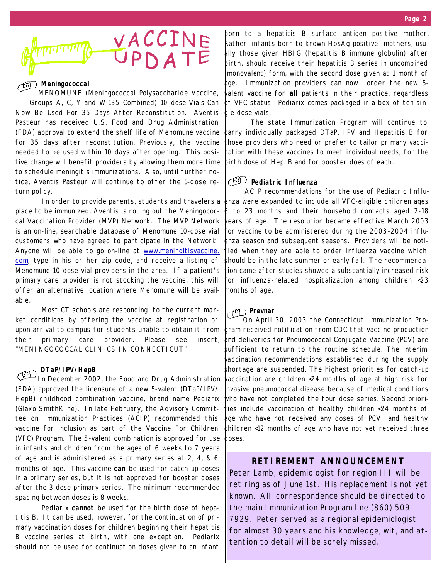

### **Meningococcal**

MENOMUNE (Meningococcal Polysaccharide Vaccine, Groups A, C, Y and W-135 Combined) 10-dose Vials Can Now Be Used For 35 Days After Reconstitution. Aventis Pasteur has received U.S. Food and Drug Administration (FDA) approval to extend the shelf life of Menomune vaccine for 35 days after reconstitution. Previously, the vaccine needed to be used within 10 days after opening. This positive change will benefit providers by allowing them more time to schedule meningitis immunizations. Also, until further notice, Aventis Pasteur will continue to offer the 5-dose return policy.

 In order to provide parents, students and travelers a place to be immunized, Aventis is rolling out the Meningococcal Vaccination Provider (MVP) Network. The MVP Network is an on-line, searchable database of Menomune 10-dose vial customers who have agreed to participate in the Network. Anyone will be able to go on-line at www.meningitisvaccine. com, type in his or her zip code, and receive a listing of Menomune 10-dose vial providers in the area. If a patient's primary care provider is not stocking the vaccine, this will offer an alternative location where Menomune will be available.

 Most CT schools are responding to the current market conditions by offering the vaccine at registration or upon arrival to campus for students unable to obtain it from their primary care provider. Please see insert, "MENINGOCOCCAL CLINICS IN CONNECTICUT"

#### **DTaP/IPV/HepB**

In December 2002, the Food and Drug Administration (FDA) approved the licensure of a new 5-valent (DTaP/IPV/ HepB) childhood combination vaccine, brand name Pediarix (Glaxo SmithKline). In late February, the Advisory Commi ttee on Immunization Practices (ACIP) recommended this vaccine for inclusion as part of the Vaccine For Children (VFC) Program. The 5-valent combination is approved for use in infants and children from the ages of 6 weeks to 7 years of age and is administered as a primary series at 2, 4, & 6 months of age. This vaccine **can** be used for catch up doses in a primary series, but it is not approved for booster doses after the 3 dose primary series. The minimum recommended spacing between doses is 8 weeks.

 Pediarix **cannot** be used for the birth dose of hepatitis B. It can be used, however, for the continuation of primary vaccination doses for children beginning their hepatitis B vaccine series at birth, with one exception. Pediarix should not be used for continuation doses given to an infant

born to a hepatitis B surface antigen positive mother. Rather, infants born to known HbsAg positive mothers, usually those given HBIG (hepatitis B immune globulin) after birth, should receive their hepatitis B series in uncombined (monovalent) form, with the second dose given at 1 month of age. Immunization providers can now order the new 5 valent vaccine for **all** patients in their practice, regardless of VFC status. Pediarix comes packaged in a box of ten single-dose vials.

 The state Immunization Program will continue to carry individually packaged DTaP, IPV and Hepatitis B for those providers who need or prefer to tailor primary vaccination with these vaccines to meet individual needs, for the birth dose of Hep. B and for booster does of each.

# **Pediatric Influenza**

ACIP recommendations for the use of Pediatric Influenza were expanded to include all VFC-eligible children ages 6 to 23 months and their household contacts aged 2-18 years of age. The resolution became effective March 2003 for vaccine to be administered during the 2003-2004 influenza season and subsequent seasons. Providers will be notified when they are able to order influenza vaccine which should be in the late summer or early fall. The recommendation came after studies showed a substantially increased risk for influenza-related hospitalization among children <23 months of age.

## *<b>Prevnar*

On April 30, 2003 the Connecticut Immunization Program received notification from CDC that vaccine production and deliveries for Pneumococcal Conjugate Vaccine (PCV) are sufficient to return to the routine schedule. The interim vaccination recommendations established during the supply shortage are suspended. The highest priorities for catch-up vaccination are children <24 months of age at high risk for invasive pneumococcal disease because of medical conditions who have not completed the four dose series. Second priorities include vaccination of healthy children <24 months of age who have not received any doses of PCV and healthy children <12 months of age who have not yet received three doses.

### **RETIREMENT ANNOUNCEMENT**

Peter Lamb, epidemiologist for region III will be retiring as of June 1st. His replacement is not yet known. All correspondence should be directed to the main Immunization Program line (860) 509- 7929. Peter served as a regional epidemiologist for almost 30 years and his knowledge, wit, and attention to detail will be sorely missed.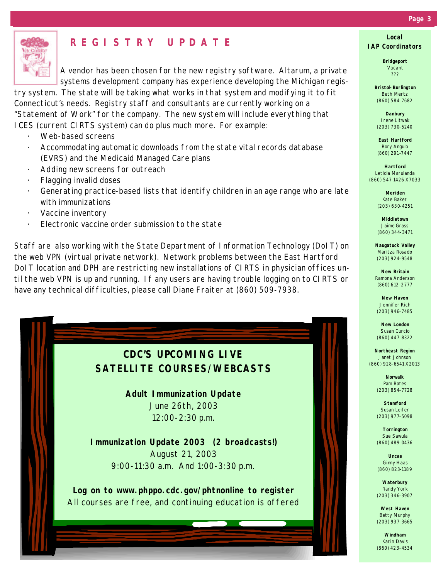

# **REGISTRY UPDATE**

A vendor has been chosen for the new registry software. Altarum, a private systems development company has experience developing the Michigan regis-

try system. The state will be taking what works in that system and modifying it to fit Connecticut's needs. Registry staff and consultants are currently working on a "Statement of Work" for the company. The new system will include everything that ICES (current CIRTS system) can do plus much more. For example:

- Web-based screens
- Accommodating automatic downloads from the state vital records database (EVRS) and the Medicaid Managed Care plans
- Adding new screens for outreach
- · Flagging invalid doses
- Generating practice-based lists that identify children in an age range who are late with immunizations
- · Vaccine inventory
- Electronic vaccine order submission to the state

Staff are also working with the State Department of Information Technology (DoIT) on the web VPN (virtual private network). Network problems between the East Hartford DoIT location and DPH are restricting new installations of CIRTS in physician offices until the web VPN is up and running. If any users are having trouble logging on to CIRTS or have any technical difficulties, please call Diane Fraiter at (860) 509-7938.



#### *Page 3*

**Local IAP Coordinators**

> **Bridgeport** Vacant ???

**Bristol-Burlington** Beth Mertz (860) 584-7682

**Danbury** Irene Litwak (203) 730-5240

**East Hartford** Rory Angulo (860) 291-7447

**Hartford** Leticia Marulanda (860) 547-1426 X7033

> **Meriden** Kate Baker (203) 630-4251

**Middletown** Jaime Grass (860) 344-3471

**Naugatuck Valley** Maritza Rosado (203) 924-9548

**New Britain** Ramona Anderson (860) 612-2777

**New Haven** Jennifer Rich (203) 946-7485

**New London** Susan Curcio (860) 447-8322

**Northeast Region** Janet Johnson (860) 928-6541 X2013

> **Norwalk** Pam Bates (203) 854-7728

**Stamford** Susan Leifer (203) 977-5098

**Torrington** Sue Sawula (860) 489-0436

**Uncas** Ginny Haas (860) 823-1189

**Waterbury** Randy York (203) 346-3907

**West Haven** Betty Murphy (203) 937-3665

**Windham** Karin Davis (860) 423-4534